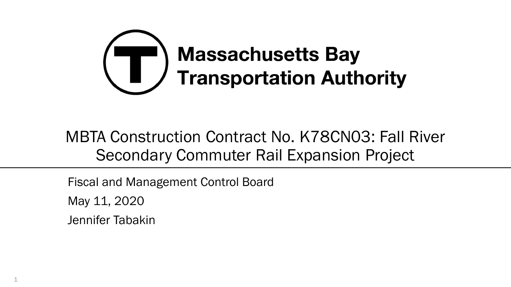

#### MBTA Construction Contract No. K78CN03: Fall River Secondary Commuter Rail Expansion Project

Fiscal and Management Control Board May 11, 2020 Jennifer Tabakin

1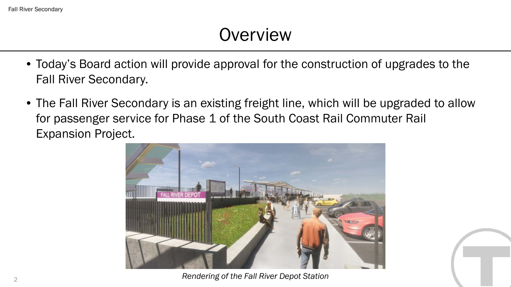### **Overview**

- Today's Board action will provide approval for the construction of upgrades to the Fall River Secondary.
- The Fall River Secondary is an existing freight line, which will be upgraded to allow for passenger service for Phase 1 of the South Coast Rail Commuter Rail Expansion Project.



*Rendering of the Fall River Depot Station*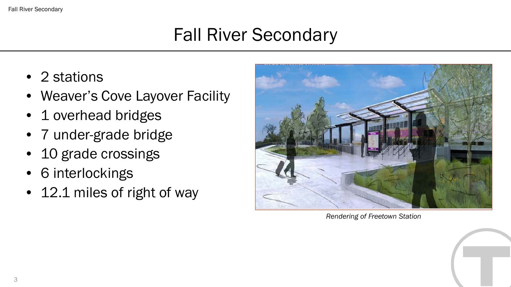#### Fall River Secondary

# Fall River Secondary

- 2 stations
- Weaver's Cove Layover Facility
- 1 overhead bridges
- 7 under-grade bridge
- 10 grade crossings
- 6 interlockings
- 12.1 miles of right of way



*Rendering of Freetown Station*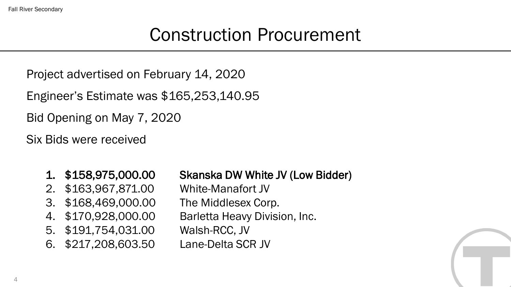Fall River Secondary

## Construction Procurement

Project advertised on February 14, 2020

Engineer's Estimate was \$165,253,140.95

Bid Opening on May 7, 2020

Six Bids were received

#### 1. \$158,975,000.00 Skanska DW White JV (Low Bidder)

- 2. \$163,967,871.00 White-Manafort JV
- 3. \$168,469,000.00 The Middlesex Corp.
- 4. \$170,928,000.00 Barletta Heavy Division, Inc.
- 5. \$191,754,031.00 Walsh-RCC, JV
- 6. \$217,208,603.50 Lane-Delta SCR JV

4